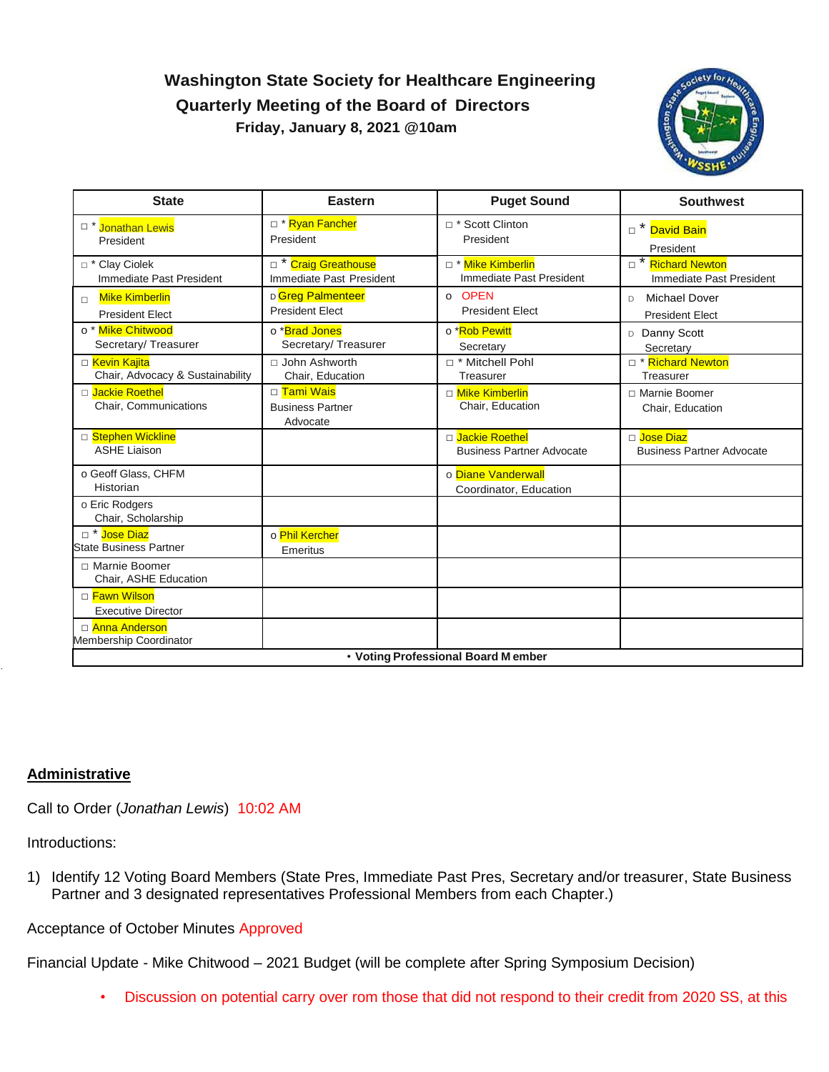# **Washington State Society for Healthcare Engineering Quarterly Meeting of the Board of Directors Friday, January 8, 2021 @10am**



| <b>State</b>                                                    | <b>Eastern</b>                                              | <b>Puget Sound</b>                                   | <b>Southwest</b>                                     |
|-----------------------------------------------------------------|-------------------------------------------------------------|------------------------------------------------------|------------------------------------------------------|
| <sup>D</sup> * Jonathan Lewis<br>President                      | □ * Ryan Fancher<br>President                               | □ * Scott Clinton<br>President                       | □ * David Bain<br>President                          |
| □ * Clay Ciolek<br>Immediate Past President                     | D <sup>*</sup> Craig Greathouse<br>Immediate Past President | □ * Mike Kimberlin<br>Immediate Past President       | Richard Newton<br>Immediate Past President           |
| <b>Mike Kimberlin</b><br>$\Box$<br><b>President Elect</b>       | D Greg Palmenteer<br><b>President Elect</b>                 | o OPEN<br><b>President Elect</b>                     | <b>Michael Dover</b><br>D.<br><b>President Elect</b> |
| o <sup>*</sup> Mike Chitwood<br>Secretary/Treasurer             | o *Brad Jones<br>Secretary/Treasurer                        | o *Rob Pewitt<br>Secretary                           | D Danny Scott<br>Secretary                           |
| □ <mark>Kevin Kajita</mark><br>Chair, Advocacy & Sustainability | □ John Ashworth<br>Chair, Education                         | □ * Mitchell Pohl<br>Treasurer                       | □ * Richard Newton<br>Treasurer                      |
| □ Jackie Roethel<br>Chair, Communications                       | □ Tami Wais<br><b>Business Partner</b><br>Advocate          | □ Mike Kimberlin<br>Chair, Education                 | □ Marnie Boomer<br>Chair, Education                  |
| □ Stephen Wickline<br><b>ASHE Liaison</b>                       |                                                             | D Jackie Roethel<br><b>Business Partner Advocate</b> | □ Jose Diaz<br><b>Business Partner Advocate</b>      |
| o Geoff Glass, CHFM<br>Historian                                |                                                             | o Diane Vanderwall<br>Coordinator, Education         |                                                      |
| o Eric Rodgers<br>Chair, Scholarship                            |                                                             |                                                      |                                                      |
| □ * Jose Diaz<br><b>State Business Partner</b>                  | o Phil Kercher<br>Emeritus                                  |                                                      |                                                      |
| □ Marnie Boomer<br>Chair, ASHE Education                        |                                                             |                                                      |                                                      |
| □ Fawn Wilson<br><b>Executive Director</b>                      |                                                             |                                                      |                                                      |
| □ Anna Anderson<br>Membership Coordinator                       |                                                             |                                                      |                                                      |
| • Voting Professional Board Member                              |                                                             |                                                      |                                                      |

#### **Administrative**

Call to Order (*Jonathan Lewis*) 10:02 AM

Introductions:

1) Identify 12 Voting Board Members (State Pres, Immediate Past Pres, Secretary and/or treasurer, State Business Partner and 3 designated representatives Professional Members from each Chapter.)

Acceptance of October Minutes Approved

Financial Update - Mike Chitwood – 2021 Budget (will be complete after Spring Symposium Decision)

• Discussion on potential carry over rom those that did not respond to their credit from 2020 SS, at this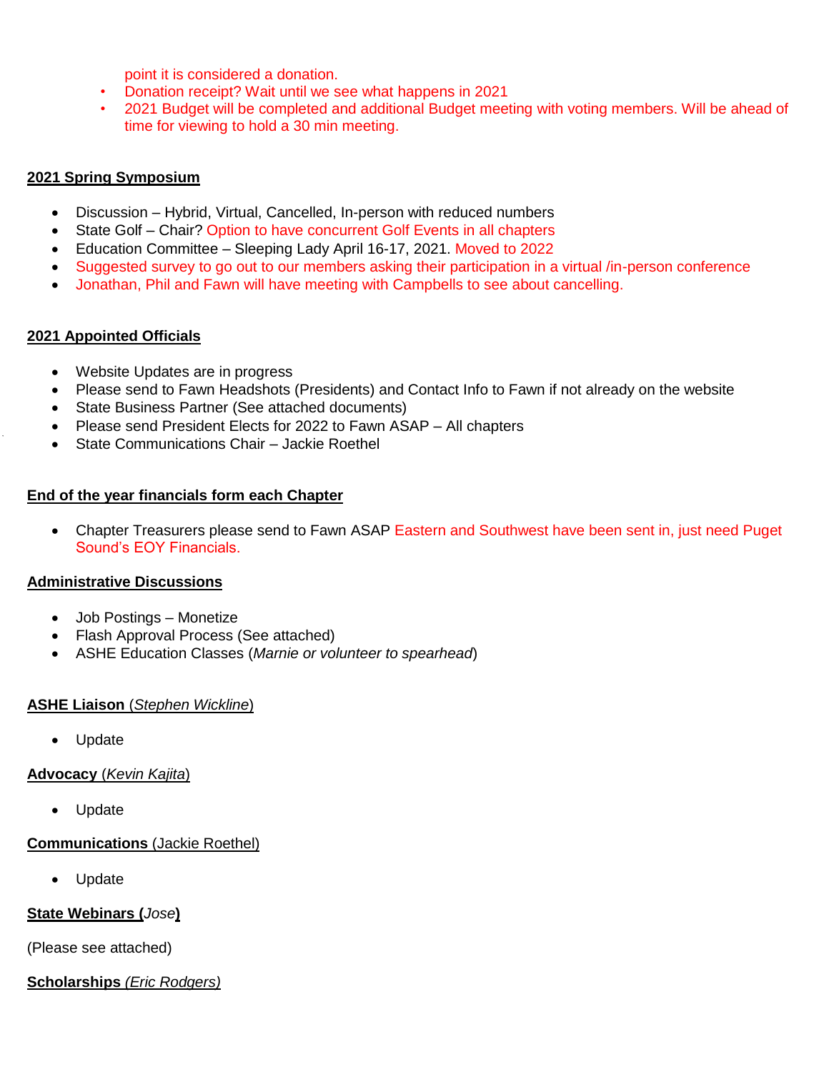point it is considered a donation.

- Donation receipt? Wait until we see what happens in 2021
- 2021 Budget will be completed and additional Budget meeting with voting members. Will be ahead of time for viewing to hold a 30 min meeting.

#### **2021 Spring Symposium**

- Discussion Hybrid, Virtual, Cancelled, In-person with reduced numbers
- State Golf Chair? Option to have concurrent Golf Events in all chapters
- Education Committee Sleeping Lady April 16-17, 2021. Moved to 2022
- Suggested survey to go out to our members asking their participation in a virtual /in-person conference
- Jonathan, Phil and Fawn will have meeting with Campbells to see about cancelling.

#### **2021 Appointed Officials**

- Website Updates are in progress
- Please send to Fawn Headshots (Presidents) and Contact Info to Fawn if not already on the website
- State Business Partner (See attached documents)
- Please send President Elects for 2022 to Fawn ASAP All chapters
- State Communications Chair Jackie Roethel

#### **End of the year financials form each Chapter**

 Chapter Treasurers please send to Fawn ASAP Eastern and Southwest have been sent in, just need Puget Sound's EOY Financials.

#### **Administrative Discussions**

- Job Postings Monetize
- Flash Approval Process (See attached)
- ASHE Education Classes (*Marnie or volunteer to spearhead*)

#### **ASHE Liaison** (*Stephen Wickline*)

Update

#### **Advocacy** (*Kevin Kajita*)

Update

## **Communications** (Jackie Roethel)

Update

## **State Webinars (***Jose***)**

(Please see attached)

## **Scholarships** *(Eric Rodgers)*